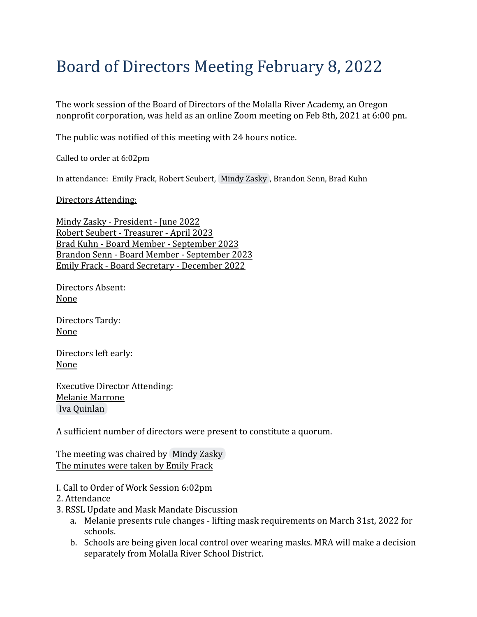# Board of Directors Meeting February 8, 2022

The work session of the Board of Directors of the Molalla River Academy, an Oregon nonprofit corporation, was held as an online Zoom meeting on Feb 8th, 2021 at 6:00 pm.

The public was notified of this meeting with 24 hours notice.

Called to order at 6:02pm

In attendance: Emily Frack, Robert Seubert, [Mindy](mailto:mzasky@mra-k8.com) Zasky , Brandon Senn, Brad Kuhn

#### Directors Attending:

Mindy Zasky - President - June 2022 Robert Seubert - Treasurer - April 2023 Brad Kuhn - Board Member - September 2023 Brandon Senn - Board Member - September 2023 Emily Frack - Board Secretary - December 2022

Directors Absent: None

Directors Tardy: None

Directors left early: None

Executive Director Attending: Melanie Marrone [Iva Quinlan](mailto:iquinlan@mra-k8.com)

A sufficient number of directors were present to constitute a quorum.

The meeting was chaired by [Mindy Zasky](mailto:mzasky@mra-k8.com) The minutes were taken by Emily Frack

- I. Call to Order of Work Session 6:02pm
- 2. Attendance
- 3. RSSL Update and Mask Mandate Discussion
	- a. Melanie presents rule changes lifting mask requirements on March 31st, 2022 for schools.
	- b. Schools are being given local control over wearing masks. MRA will make a decision separately from Molalla River School District.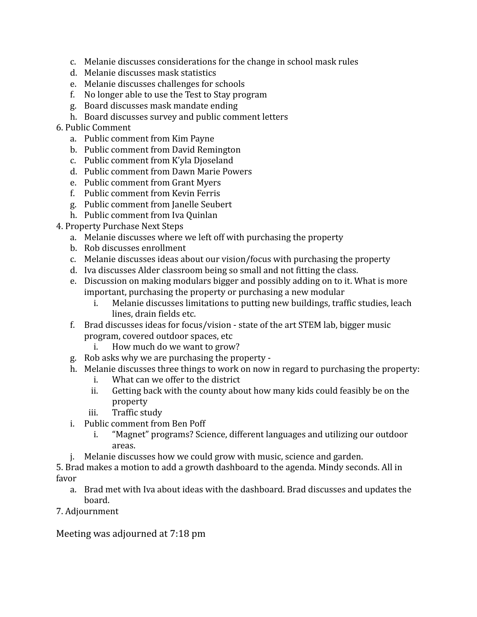- c. Melanie discusses considerations for the change in school mask rules
- d. Melanie discusses mask statistics
- e. Melanie discusses challenges for schools
- f. No longer able to use the Test to Stay program
- g. Board discusses mask mandate ending
- h. Board discusses survey and public comment letters

### 6. Public Comment

- a. Public comment from Kim Payne
- b. Public comment from David Remington
- c. Public comment from K'yla Djoseland
- d. Public comment from Dawn Marie Powers
- e. Public comment from Grant Myers
- f. Public comment from Kevin Ferris
- g. Public comment from Janelle Seubert
- h. Public comment from Iva Quinlan

### 4. Property Purchase Next Steps

- a. Melanie discusses where we left off with purchasing the property
- b. Rob discusses enrollment
- c. Melanie discusses ideas about our vision/focus with purchasing the property
- d. Iva discusses Alder classroom being so small and not fitting the class.
- e. Discussion on making modulars bigger and possibly adding on to it. What is more important, purchasing the property or purchasing a new modular
	- i. Melanie discusses limitations to putting new buildings, traffic studies, leach lines, drain fields etc.
- f. Brad discusses ideas for focus/vision state of the art STEM lab, bigger music program, covered outdoor spaces, etc
	- i. How much do we want to grow?
- g. Rob asks why we are purchasing the property -
- h. Melanie discusses three things to work on now in regard to purchasing the property:
	- i. What can we offer to the district
	- ii. Getting back with the county about how many kids could feasibly be on the property
	- iii. Traffic study
- i. Public comment from Ben Poff
	- i. "Magnet" programs? Science, different languages and utilizing our outdoor areas.
- j. Melanie discusses how we could grow with music, science and garden.

5. Brad makes a motion to add a growth dashboard to the agenda. Mindy seconds. All in favor

- a. Brad met with Iva about ideas with the dashboard. Brad discusses and updates the board.
- 7. Adjournment

Meeting was adjourned at 7:18 pm